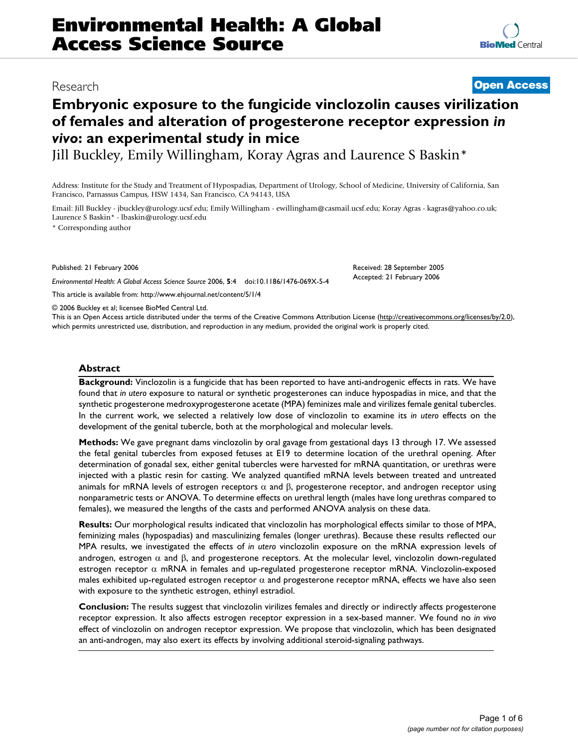# Research **[Open Access](http://www.biomedcentral.com/info/about/charter/)**

# **Embryonic exposure to the fungicide vinclozolin causes virilization of females and alteration of progesterone receptor expression** *in vivo***: an experimental study in mice**

Jill Buckley, Emily Willingham, Koray Agras and Laurence S Baskin\*

Address: Institute for the Study and Treatment of Hypospadias, Department of Urology, School of Medicine, University of California, San Francisco, Parnassus Campus, HSW 1434, San Francisco, CA 94143, USA

Email: Jill Buckley - jbuckley@urology.ucsf.edu; Emily Willingham - ewillingham@casmail.ucsf.edu; Koray Agras - kagras@yahoo.co.uk; Laurence S Baskin\* - lbaskin@urology.ucsf.edu

\* Corresponding author

Published: 21 February 2006

*Environmental Health: A Global Access Science Source* 2006, **5**:4 doi:10.1186/1476-069X-5-4

[This article is available from: http://www.ehjournal.net/content/5/1/4](http://www.ehjournal.net/content/5/1/4)

© 2006 Buckley et al; licensee BioMed Central Ltd.

This is an Open Access article distributed under the terms of the Creative Commons Attribution License [\(http://creativecommons.org/licenses/by/2.0\)](http://creativecommons.org/licenses/by/2.0), which permits unrestricted use, distribution, and reproduction in any medium, provided the original work is properly cited.

#### **Abstract**

**Background:** Vinclozolin is a fungicide that has been reported to have anti-androgenic effects in rats. We have found that *in utero* exposure to natural or synthetic progesterones can induce hypospadias in mice, and that the synthetic progesterone medroxyprogesterone acetate (MPA) feminizes male and virilizes female genital tubercles. In the current work, we selected a relatively low dose of vinclozolin to examine its *in utero* effects on the development of the genital tubercle, both at the morphological and molecular levels.

**Methods:** We gave pregnant dams vinclozolin by oral gavage from gestational days 13 through 17. We assessed the fetal genital tubercles from exposed fetuses at E19 to determine location of the urethral opening. After determination of gonadal sex, either genital tubercles were harvested for mRNA quantitation, or urethras were injected with a plastic resin for casting. We analyzed quantified mRNA levels between treated and untreated animals for mRNA levels of estrogen receptors  $\alpha$  and  $\beta$ , progesterone receptor, and androgen receptor using nonparametric tests or ANOVA. To determine effects on urethral length (males have long urethras compared to females), we measured the lengths of the casts and performed ANOVA analysis on these data.

**Results:** Our morphological results indicated that vinclozolin has morphological effects similar to those of MPA, feminizing males (hypospadias) and masculinizing females (longer urethras). Because these results reflected our MPA results, we investigated the effects of *in utero* vinclozolin exposure on the mRNA expression levels of androgen, estrogen  $\alpha$  and  $\beta$ , and progesterone receptors. At the molecular level, vinclozolin down-regulated estrogen receptor  $\alpha$  mRNA in females and up-regulated progesterone receptor mRNA. Vinclozolin-exposed males exhibited up-regulated estrogen receptor  $\alpha$  and progesterone receptor mRNA, effects we have also seen with exposure to the synthetic estrogen, ethinyl estradiol.

**Conclusion:** The results suggest that vinclozolin virilizes females and directly or indirectly affects progesterone receptor expression. It also affects estrogen receptor expression in a sex-based manner. We found no *in vivo* effect of vinclozolin on androgen receptor expression. We propose that vinclozolin, which has been designated an anti-androgen, may also exert its effects by involving additional steroid-signaling pathways.

Received: 28 September 2005 Accepted: 21 February 2006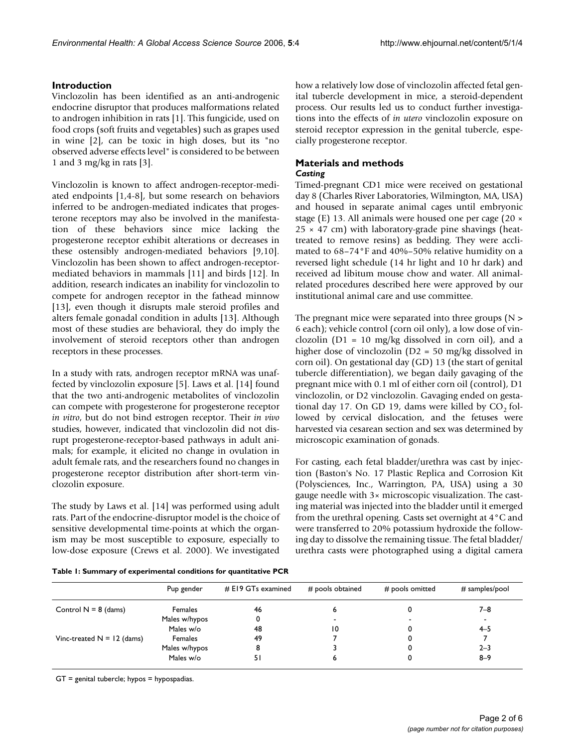# **Introduction**

Vinclozolin has been identified as an anti-androgenic endocrine disruptor that produces malformations related to androgen inhibition in rats [1]. This fungicide, used on food crops (soft fruits and vegetables) such as grapes used in wine [2], can be toxic in high doses, but its "no observed adverse effects level" is considered to be between 1 and 3 mg/kg in rats [3].

Vinclozolin is known to affect androgen-receptor-mediated endpoints [1,4-8], but some research on behaviors inferred to be androgen-mediated indicates that progesterone receptors may also be involved in the manifestation of these behaviors since mice lacking the progesterone receptor exhibit alterations or decreases in these ostensibly androgen-mediated behaviors [9,10]. Vinclozolin has been shown to affect androgen-receptormediated behaviors in mammals [11] and birds [12]. In addition, research indicates an inability for vinclozolin to compete for androgen receptor in the fathead minnow [13], even though it disrupts male steroid profiles and alters female gonadal condition in adults [13]. Although most of these studies are behavioral, they do imply the involvement of steroid receptors other than androgen receptors in these processes.

In a study with rats, androgen receptor mRNA was unaffected by vinclozolin exposure [5]. Laws et al. [14] found that the two anti-androgenic metabolites of vinclozolin can compete with progesterone for progesterone receptor *in vitro*, but do not bind estrogen receptor. Their *in vivo* studies, however, indicated that vinclozolin did not disrupt progesterone-receptor-based pathways in adult animals; for example, it elicited no change in ovulation in adult female rats, and the researchers found no changes in progesterone receptor distribution after short-term vinclozolin exposure.

The study by Laws et al. [14] was performed using adult rats. Part of the endocrine-disruptor model is the choice of sensitive developmental time-points at which the organism may be most susceptible to exposure, especially to low-dose exposure (Crews et al. 2000). We investigated how a relatively low dose of vinclozolin affected fetal genital tubercle development in mice, a steroid-dependent process. Our results led us to conduct further investigations into the effects of *in utero* vinclozolin exposure on steroid receptor expression in the genital tubercle, especially progesterone receptor.

# **Materials and methods** *Casting*

Timed-pregnant CD1 mice were received on gestational day 8 (Charles River Laboratories, Wilmington, MA, USA) and housed in separate animal cages until embryonic stage (E) 13. All animals were housed one per cage (20 ×  $25 \times 47$  cm) with laboratory-grade pine shavings (heattreated to remove resins) as bedding. They were acclimated to 68–74°F and 40%–50% relative humidity on a reversed light schedule (14 hr light and 10 hr dark) and received ad libitum mouse chow and water. All animalrelated procedures described here were approved by our institutional animal care and use committee.

The pregnant mice were separated into three groups  $(N >$ 6 each); vehicle control (corn oil only), a low dose of vinclozolin ( $D1 = 10$  mg/kg dissolved in corn oil), and a higher dose of vinclozolin (D2 = 50 mg/kg dissolved in corn oil). On gestational day (GD) 13 (the start of genital tubercle differentiation), we began daily gavaging of the pregnant mice with 0.1 ml of either corn oil (control), D1 vinclozolin, or D2 vinclozolin. Gavaging ended on gestational day 17. On GD 19, dams were killed by  $CO<sub>2</sub>$  followed by cervical dislocation, and the fetuses were harvested via cesarean section and sex was determined by microscopic examination of gonads.

For casting, each fetal bladder/urethra was cast by injection (Baston's No. 17 Plastic Replica and Corrosion Kit (Polysciences, Inc., Warrington, PA, USA) using a 30 gauge needle with 3× microscopic visualization. The casting material was injected into the bladder until it emerged from the urethral opening. Casts set overnight at 4°C and were transferred to 20% potassium hydroxide the following day to dissolve the remaining tissue. The fetal bladder/ urethra casts were photographed using a digital camera

**Table 1: Summary of experimental conditions for quantitative PCR**

|                              | Pup gender    | # E19 GTs examined | # pools obtained | # pools omitted | # samples/pool |
|------------------------------|---------------|--------------------|------------------|-----------------|----------------|
|                              |               |                    |                  |                 |                |
| Control $N = 8$ (dams)       | Females       | 46                 | ь                |                 | $7 - 8$        |
|                              | Males w/hypos | 0                  |                  |                 |                |
|                              | Males w/o     | 48                 | 10               |                 | $4 - 5$        |
| Vinc-treated $N = 12$ (dams) | Females       | 49                 |                  |                 |                |
|                              | Males w/hypos | 8                  |                  |                 | $2 - 3$        |
|                              | Males w/o     | 51                 |                  |                 | $8 - 9$        |

 $GT =$  genital tubercle; hypos = hypospadias.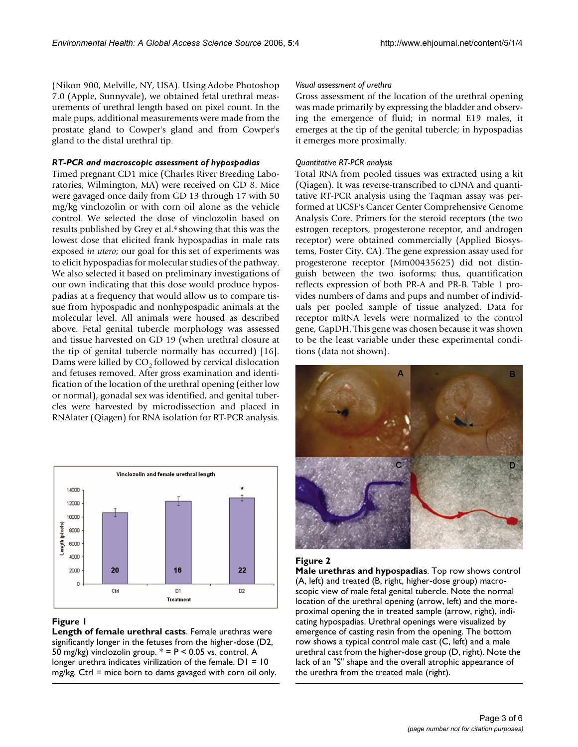(Nikon 900, Melville, NY, USA). Using Adobe Photoshop 7.0 (Apple, Sunnyvale), we obtained fetal urethral measurements of urethral length based on pixel count. In the male pups, additional measurements were made from the prostate gland to Cowper's gland and from Cowper's gland to the distal urethral tip.

#### *RT-PCR and macroscopic assessment of hypospadias*

Timed pregnant CD1 mice (Charles River Breeding Laboratories, Wilmington, MA) were received on GD 8. Mice were gavaged once daily from GD 13 through 17 with 50 mg/kg vinclozolin or with corn oil alone as the vehicle control. We selected the dose of vinclozolin based on results published by Grey et al.<sup>4</sup> showing that this was the lowest dose that elicited frank hypospadias in male rats exposed *in utero*; our goal for this set of experiments was to elicit hypospadias for molecular studies of the pathway. We also selected it based on preliminary investigations of our own indicating that this dose would produce hypospadias at a frequency that would allow us to compare tissue from hypospadic and nonhypospadic animals at the molecular level. All animals were housed as described above. Fetal genital tubercle morphology was assessed and tissue harvested on GD 19 (when urethral closure at the tip of genital tubercle normally has occurred) [16]. Dams were killed by  $CO<sub>2</sub>$  followed by cervical dislocation and fetuses removed. After gross examination and identification of the location of the urethral opening (either low or normal), gonadal sex was identified, and genital tubercles were harvested by microdissection and placed in RNAlater (Qiagen) for RNA isolation for RT-PCR analysis.



#### **Figure 1**

**Length of female urethral casts**. Female urethras were significantly longer in the fetuses from the higher-dose (D2, 50 mg/kg) vinclozolin group.  $* = P < 0.05$  vs. control. A longer urethra indicates virilization of the female.  $DI = IO$ mg/kg. Ctrl = mice born to dams gavaged with corn oil only.

#### *Visual assessment of urethra*

Gross assessment of the location of the urethral opening was made primarily by expressing the bladder and observing the emergence of fluid; in normal E19 males, it emerges at the tip of the genital tubercle; in hypospadias it emerges more proximally.

#### *Quantitative RT-PCR analysis*

Total RNA from pooled tissues was extracted using a kit (Qiagen). It was reverse-transcribed to cDNA and quantitative RT-PCR analysis using the Taqman assay was performed at UCSF's Cancer Center Comprehensive Genome Analysis Core. Primers for the steroid receptors (the two estrogen receptors, progesterone receptor, and androgen receptor) were obtained commercially (Applied Biosystems, Foster City, CA). The gene expression assay used for progesterone receptor (Mm00435625) did not distinguish between the two isoforms; thus, quantification reflects expression of both PR-A and PR-B. Table 1 provides numbers of dams and pups and number of individuals per pooled sample of tissue analyzed. Data for receptor mRNA levels were normalized to the control gene, GapDH. This gene was chosen because it was shown to be the least variable under these experimental conditions (data not shown).



#### **Figure 2**

**Male urethras and hypospadias**. Top row shows control (A, left) and treated (B, right, higher-dose group) macroscopic view of male fetal genital tubercle. Note the normal location of the urethral opening (arrow, left) and the moreproximal opening the in treated sample (arrow, right), indicating hypospadias. Urethral openings were visualized by emergence of casting resin from the opening. The bottom row shows a typical control male cast (C, left) and a male urethral cast from the higher-dose group (D, right). Note the lack of an "S" shape and the overall atrophic appearance of the urethra from the treated male (right).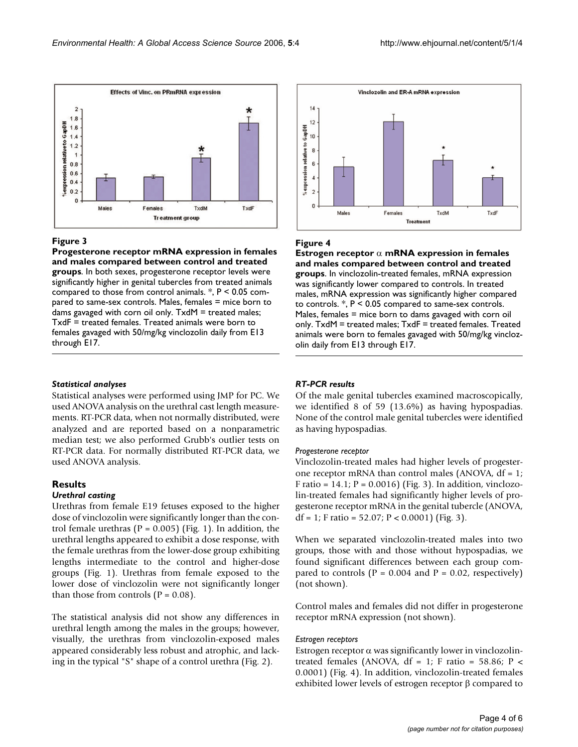

### **Pigure 3**

**Progesterone receptor mRNA expression in females and males compared between control and treated groups**. In both sexes, progesterone receptor levels were significantly higher in genital tubercles from treated animals compared to those from control animals. \*, P < 0.05 compared to same-sex controls. Males, females = mice born to dams gavaged with corn oil only. TxdM = treated males; TxdF = treated females. Treated animals were born to females gavaged with 50/mg/kg vinclozolin daily from E13 through E17.

#### *Statistical analyses*

Statistical analyses were performed using JMP for PC. We used ANOVA analysis on the urethral cast length measurements. RT-PCR data, when not normally distributed, were analyzed and are reported based on a nonparametric median test; we also performed Grubb's outlier tests on RT-PCR data. For normally distributed RT-PCR data, we used ANOVA analysis.

# **Results**

#### *Urethral casting*

Urethras from female E19 fetuses exposed to the higher dose of vinclozolin were significantly longer than the control female urethras ( $P = 0.005$ ) (Fig. 1). In addition, the urethral lengths appeared to exhibit a dose response, with the female urethras from the lower-dose group exhibiting lengths intermediate to the control and higher-dose groups (Fig. 1). Urethras from female exposed to the lower dose of vinclozolin were not significantly longer than those from controls  $(P = 0.08)$ .

The statistical analysis did not show any differences in urethral length among the males in the groups; however, visually, the urethras from vinclozolin-exposed males appeared considerably less robust and atrophic, and lacking in the typical "S" shape of a control urethra (Fig. 2).



#### Figure 4

**Estrogen receptor** α **mRNA expression in females and males compared between control and treated groups**. In vinclozolin-treated females, mRNA expression was significantly lower compared to controls. In treated males, mRNA expression was significantly higher compared to controls. \*, P < 0.05 compared to same-sex controls. Males, females = mice born to dams gavaged with corn oil only. TxdM = treated males; TxdF = treated females. Treated animals were born to females gavaged with 50/mg/kg vinclozolin daily from E13 through E17.

# *RT-PCR results*

Of the male genital tubercles examined macroscopically, we identified 8 of 59 (13.6%) as having hypospadias. None of the control male genital tubercles were identified as having hypospadias.

#### *Progesterone receptor*

Vinclozolin-treated males had higher levels of progesterone receptor mRNA than control males (ANOVA, df = 1; F ratio =  $14.1$ ; P = 0.0016) (Fig. 3). In addition, vinclozolin-treated females had significantly higher levels of progesterone receptor mRNA in the genital tubercle (ANOVA, df = 1; F ratio = 52.07; P < 0.0001) (Fig. 3).

When we separated vinclozolin-treated males into two groups, those with and those without hypospadias, we found significant differences between each group compared to controls ( $P = 0.004$  and  $P = 0.02$ , respectively) (not shown).

Control males and females did not differ in progesterone receptor mRNA expression (not shown).

#### *Estrogen receptors*

Estrogen receptor  $\alpha$  was significantly lower in vinclozolintreated females (ANOVA, df = 1; F ratio = 58.86; P < 0.0001) (Fig. 4). In addition, vinclozolin-treated females exhibited lower levels of estrogen receptor β compared to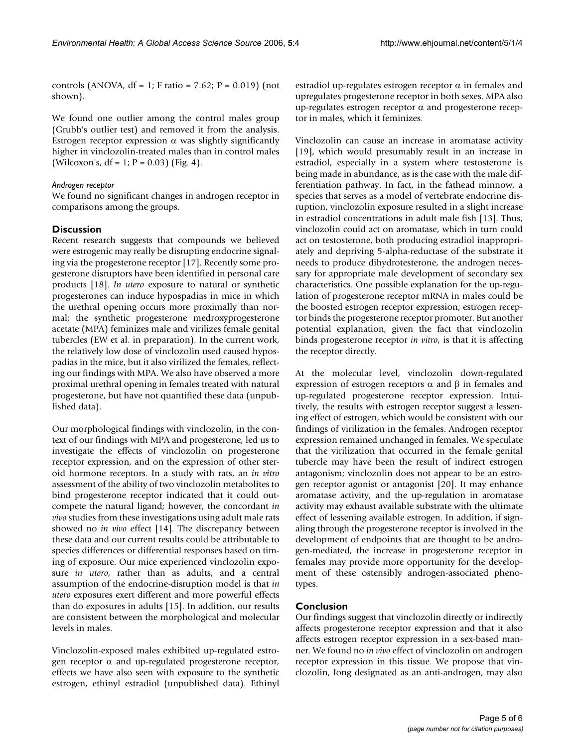controls (ANOVA,  $df = 1$ ; F ratio = 7.62; P = 0.019) (not shown).

We found one outlier among the control males group (Grubb's outlier test) and removed it from the analysis. Estrogen receptor expression  $\alpha$  was slightly significantly higher in vinclozolin-treated males than in control males (Wilcoxon's,  $df = 1$ ;  $P = 0.03$ ) (Fig. 4).

### *Androgen receptor*

We found no significant changes in androgen receptor in comparisons among the groups.

# **Discussion**

Recent research suggests that compounds we believed were estrogenic may really be disrupting endocrine signaling via the progesterone receptor [17]. Recently some progesterone disruptors have been identified in personal care products [18]. *In utero* exposure to natural or synthetic progesterones can induce hypospadias in mice in which the urethral opening occurs more proximally than normal; the synthetic progesterone medroxyprogesterone acetate (MPA) feminizes male and virilizes female genital tubercles (EW et al. in preparation). In the current work, the relatively low dose of vinclozolin used caused hypospadias in the mice, but it also virilized the females, reflecting our findings with MPA. We also have observed a more proximal urethral opening in females treated with natural progesterone, but have not quantified these data (unpublished data).

Our morphological findings with vinclozolin, in the context of our findings with MPA and progesterone, led us to investigate the effects of vinclozolin on progesterone receptor expression, and on the expression of other steroid hormone receptors. In a study with rats, an *in vitro* assessment of the ability of two vinclozolin metabolites to bind progesterone receptor indicated that it could outcompete the natural ligand; however, the concordant *in vivo* studies from these investigations using adult male rats showed no *in vivo* effect [14]. The discrepancy between these data and our current results could be attributable to species differences or differential responses based on timing of exposure. Our mice experienced vinclozolin exposure *in utero*, rather than as adults, and a central assumption of the endocrine-disruption model is that *in utero* exposures exert different and more powerful effects than do exposures in adults [15]. In addition, our results are consistent between the morphological and molecular levels in males.

Vinclozolin-exposed males exhibited up-regulated estrogen receptor  $\alpha$  and up-regulated progesterone receptor, effects we have also seen with exposure to the synthetic estrogen, ethinyl estradiol (unpublished data). Ethinyl

estradiol up-regulates estrogen receptor  $\alpha$  in females and upregulates progesterone receptor in both sexes. MPA also up-regulates estrogen receptor  $α$  and progesterone receptor in males, which it feminizes.

Vinclozolin can cause an increase in aromatase activity [19], which would presumably result in an increase in estradiol, especially in a system where testosterone is being made in abundance, as is the case with the male differentiation pathway. In fact, in the fathead minnow, a species that serves as a model of vertebrate endocrine disruption, vinclozolin exposure resulted in a slight increase in estradiol concentrations in adult male fish [13]. Thus, vinclozolin could act on aromatase, which in turn could act on testosterone, both producing estradiol inappropriately and depriving 5-alpha-reductase of the substrate it needs to produce dihydrotesterone, the androgen necessary for appropriate male development of secondary sex characteristics. One possible explanation for the up-regulation of progesterone receptor mRNA in males could be the boosted estrogen receptor expression; estrogen receptor binds the progesterone receptor promoter. But another potential explanation, given the fact that vinclozolin binds progesterone receptor *in vitro*, is that it is affecting the receptor directly.

At the molecular level, vinclozolin down-regulated expression of estrogen receptors  $\alpha$  and  $\beta$  in females and up-regulated progesterone receptor expression. Intuitively, the results with estrogen receptor suggest a lessening effect of estrogen, which would be consistent with our findings of virilization in the females. Androgen receptor expression remained unchanged in females. We speculate that the virilization that occurred in the female genital tubercle may have been the result of indirect estrogen antagonism; vinclozolin does not appear to be an estrogen receptor agonist or antagonist [20]. It may enhance aromatase activity, and the up-regulation in aromatase activity may exhaust available substrate with the ultimate effect of lessening available estrogen. In addition, if signaling through the progesterone receptor is involved in the development of endpoints that are thought to be androgen-mediated, the increase in progesterone receptor in females may provide more opportunity for the development of these ostensibly androgen-associated phenotypes.

# **Conclusion**

Our findings suggest that vinclozolin directly or indirectly affects progesterone receptor expression and that it also affects estrogen receptor expression in a sex-based manner. We found no *in vivo* effect of vinclozolin on androgen receptor expression in this tissue. We propose that vinclozolin, long designated as an anti-androgen, may also